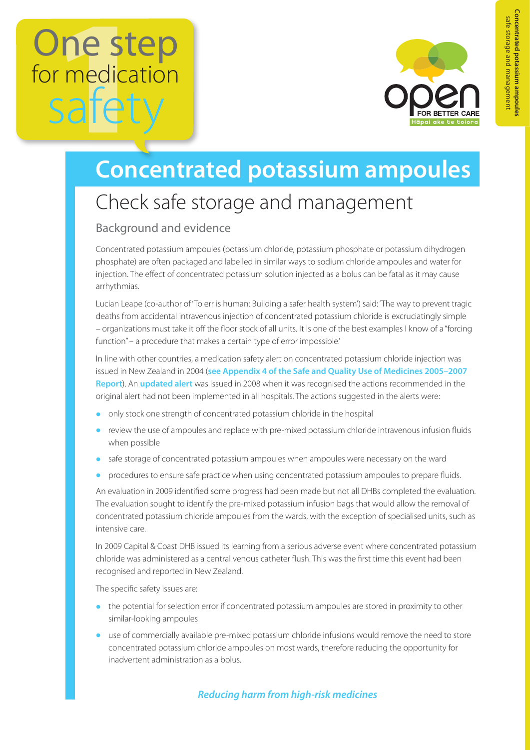# One step for medication safe



## **Concentrated potassium ampoules**

### Check safe storage and management

#### Background and evidence

Concentrated potassium ampoules (potassium chloride, potassium phosphate or potassium dihydrogen phosphate) are often packaged and labelled in similar ways to sodium chloride ampoules and water for injection. The effect of concentrated potassium solution injected as a bolus can be fatal as it may cause arrhythmias.

Lucian Leape (co-author of 'To err is human: Building a safer health system') said: 'The way to prevent tragic deaths from accidental intravenous injection of concentrated potassium chloride is excruciatingly simple – organizations must take it off the floor stock of all units. It is one of the best examples I know of a "forcing function" – a procedure that makes a certain type of error impossible.'

In line with other countries, a medication safety alert on concentrated potassium chloride injection was issued in New Zealand in 2004 (**[see Appendix 4 of the Safe and Quality Use of Medicines 2005–2007](https://www.hqsc.govt.nz/assets/Medication-Safety/Resource-Archive/SQM-/SQuseofMeds-Annual-Reports-05to07.pdf)  [Report](https://www.hqsc.govt.nz/assets/Medication-Safety/Resource-Archive/SQM-/SQuseofMeds-Annual-Reports-05to07.pdf)**). An **[updated alert](https://www.hqsc.govt.nz/assets/Medication-Safety/Alerts-PR/Updated-Potassium-Chloride-Concentrated-Injection-Alert.pdf)** was issued in 2008 when it was recognised the actions recommended in the original alert had not been implemented in all hospitals. The actions suggested in the alerts were:

- **•** only stock one strength of concentrated potassium chloride in the hospital
- **•** review the use of ampoules and replace with pre-mixed potassium chloride intravenous infusion fluids when possible
- **•** safe storage of concentrated potassium ampoules when ampoules were necessary on the ward
- **•** procedures to ensure safe practice when using concentrated potassium ampoules to prepare fluids.

An evaluation in 2009 identified some progress had been made but not all DHBs completed the evaluation. The evaluation sought to identify the pre-mixed potassium infusion bags that would allow the removal of concentrated potassium chloride ampoules from the wards, with the exception of specialised units, such as intensive care.

In 2009 Capital & Coast DHB issued its learning from a serious adverse event where concentrated potassium chloride was administered as a central venous catheter flush. This was the first time this event had been recognised and reported in New Zealand.

The specific safety issues are:

- the potential for selection error if concentrated potassium ampoules are stored in proximity to other similar-looking ampoules
- **•** use of commercially available pre-mixed potassium chloride infusions would remove the need to store concentrated potassium chloride ampoules on most wards, therefore reducing the opportunity for inadvertent administration as a bolus.

#### *Reducing harm from high-risk medicines*